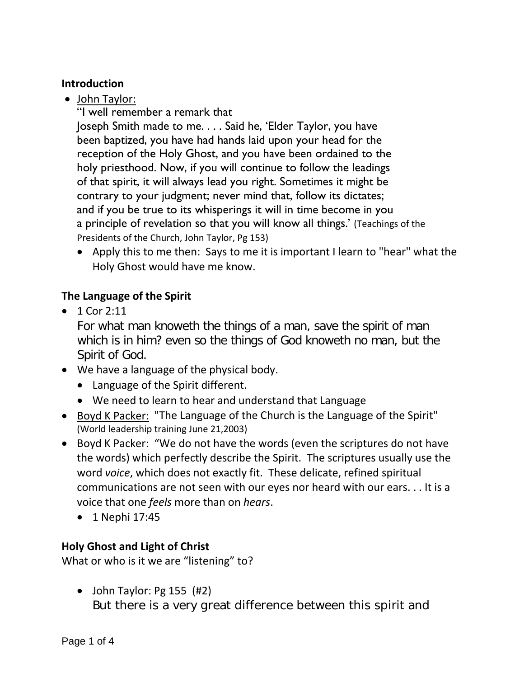## **Introduction**

- John Taylor:
	- "I well remember a remark that

Joseph Smith made to me. . . . Said he, 'Elder Taylor, you have been baptized, you have had hands laid upon your head for the reception of the Holy Ghost, and you have been ordained to the holy priesthood. Now, if you will continue to follow the leadings of that spirit, it will always lead you right. Sometimes it might be contrary to your judgment; never mind that, follow its dictates; and if you be true to its whisperings it will in time become in you a principle of revelation so that you will know all things.' (Teachings of the Presidents of the Church, John Taylor, Pg 153)

• Apply this to me then: Says to me it is important I learn to "hear" what the Holy Ghost would have me know.

# **The Language of the Spirit**

• 1 Cor 2:11

For what man knoweth the things of a man, save the spirit of man which is in him? even so the things of God knoweth no man, but the Spirit of God.

- We have a language of the physical body.
	- Language of the Spirit different.
	- We need to learn to hear and understand that Language
- Boyd K Packer: "The Language of the Church is the Language of the Spirit" (World leadership training June 21,2003)
- Boyd K Packer: "We do not have the words (even the scriptures do not have the words) which perfectly describe the Spirit. The scriptures usually use the word *voice*, which does not exactly fit. These delicate, refined spiritual communications are not seen with our eyes nor heard with our ears. . . It is a voice that one *feels* more than on *hears*.
	- 1 Nephi 17:45

### **Holy Ghost and Light of Christ**

What or who is it we are "listening" to?

• John Taylor: Pg 155 (#2) But there is a very great difference between this spirit and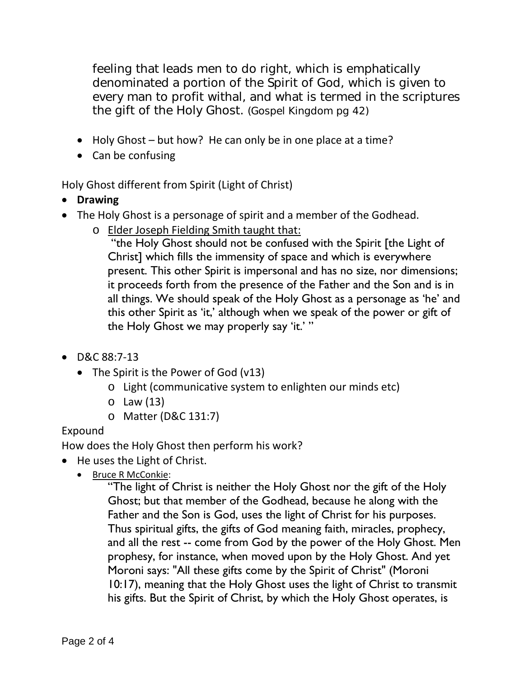feeling that leads men to do right, which is emphatically denominated a portion of the Spirit of God, which is given to every man to profit withal, and what is termed in the scriptures the gift of the Holy Ghost. (Gospel Kingdom pg 42)

- Holy Ghost but how? He can only be in one place at a time?
- Can be confusing

Holy Ghost different from Spirit (Light of Christ)

- **Drawing**
- The Holy Ghost is a personage of spirit and a member of the Godhead.
	- o Elder Joseph Fielding Smith taught that:

"the Holy Ghost should not be confused with the Spirit [the Light of Christ] which fills the immensity of space and which is everywhere present. This other Spirit is impersonal and has no size, nor dimensions; it proceeds forth from the presence of the Father and the Son and is in all things. We should speak of the Holy Ghost as a personage as 'he' and this other Spirit as 'it,' although when we speak of the power or gift of the Holy Ghost we may properly say 'it.' "

- D&C 88:7-13
	- The Spirit is the Power of God (v13)
		- o Light (communicative system to enlighten our minds etc)
		- o Law (13)
		- o Matter (D&C 131:7)

# Expound

How does the Holy Ghost then perform his work?

- He uses the Light of Christ.
	- Bruce R McConkie:

"The light of Christ is neither the Holy Ghost nor the gift of the Holy Ghost; but that member of the Godhead, because he along with the Father and the Son is God, uses the light of Christ for his purposes. Thus spiritual gifts, the gifts of God meaning faith, miracles, prophecy, and all the rest -- come from God by the power of the Holy Ghost. Men prophesy, for instance, when moved upon by the Holy Ghost. And yet Moroni says: "All these gifts come by the Spirit of Christ" (Moroni 10:17), meaning that the Holy Ghost uses the light of Christ to transmit his gifts. But the Spirit of Christ, by which the Holy Ghost operates, is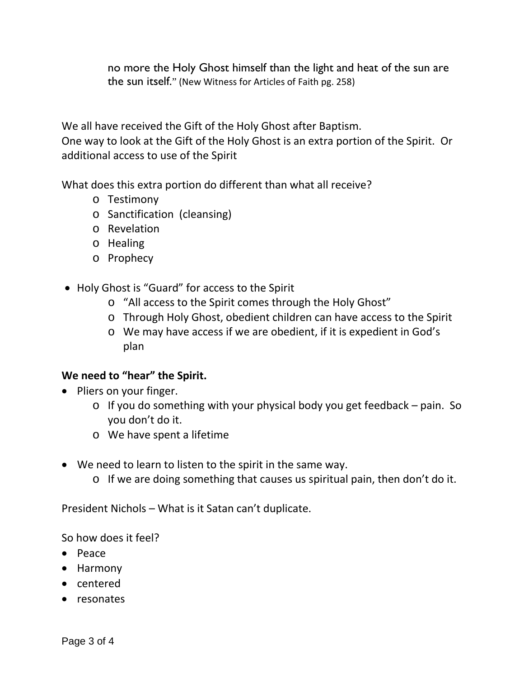no more the Holy Ghost himself than the light and heat of the sun are the sun itself." (New Witness for Articles of Faith pg. 258)

We all have received the Gift of the Holy Ghost after Baptism. One way to look at the Gift of the Holy Ghost is an extra portion of the Spirit. Or additional access to use of the Spirit

What does this extra portion do different than what all receive?

- o Testimony
- o Sanctification (cleansing)
- o Revelation
- o Healing
- o Prophecy
- Holy Ghost is "Guard" for access to the Spirit
	- o "All access to the Spirit comes through the Holy Ghost"
	- o Through Holy Ghost, obedient children can have access to the Spirit
	- o We may have access if we are obedient, if it is expedient in God's plan

### **We need to "hear" the Spirit.**

- Pliers on your finger.
	- o If you do something with your physical body you get feedback pain. So you don't do it.
	- o We have spent a lifetime
- We need to learn to listen to the spirit in the same way.
	- o If we are doing something that causes us spiritual pain, then don't do it.

President Nichols – What is it Satan can't duplicate.

So how does it feel?

- Peace
- Harmony
- centered
- resonates